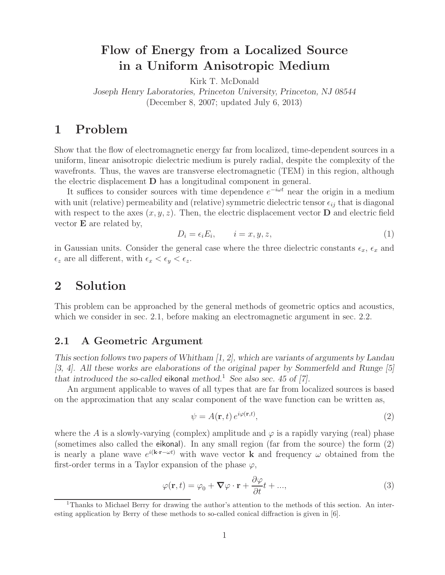# **Flow of Energy from a Localized Source in a Uniform Anisotropic Medium**

Kirk T. McDonald

*Joseph Henry Laboratories, Princeton University, Princeton, NJ 08544* (December 8, 2007; updated July 6, 2013)

## **1 Problem**

Show that the flow of electromagnetic energy far from localized, time-dependent sources in a uniform, linear anisotropic dielectric medium is purely radial, despite the complexity of the wavefronts. Thus, the waves are transverse electromagnetic (TEM) in this region, although the electric displacement **D** has a longitudinal component in general.

It suffices to consider sources with time dependence  $e^{-i\omega t}$  near the origin in a medium with unit (relative) permeability and (relative) symmetric dielectric tensor  $\epsilon_{ij}$  that is diagonal<br>with negate the late space (g, g, g). Then, the electric dig learnest vector  $\mathbf{D}$  and electric field with respect to the axes  $(x, y, z)$ . Then, the electric displacement vector **D** and electric field vector **E** are related by,

$$
D_i = \epsilon_i E_i, \qquad i = x, y, z,
$$
\n<sup>(1)</sup>

in Gaussian units. Consider the general case where the three dielectric constants  $\epsilon_x$ ,  $\epsilon_x$  and  $\epsilon_z$  are all different, with  $\epsilon_x < \epsilon_y < \epsilon_z$ .

## **2 Solution**

This problem can be approached by the general methods of geometric optics and acoustics, which we consider in sec. 2.1, before making an electromagnetic argument in sec. 2.2.

### **2.1 A Geometric Argument**

*This section follows two papers of Whitham [1, 2], which are variants of arguments by Landau [3, 4]. All these works are elaborations of the original paper by Sommerfeld and Runge [5] that introduced the so-called* eikonal *method.*<sup>1</sup> *See also sec. 45 of [7].*

An argument applicable to waves of all types that are far from localized sources is based on the approximation that any scalar component of the wave function can be written as,

$$
\psi = A(\mathbf{r}, t) e^{i\varphi(\mathbf{r}, t)},\tag{2}
$$

where the A is a slowly-varying (complex) amplitude and  $\varphi$  is a rapidly varying (real) phase (sometimes also called the eikonal). In any small region (far from the source) the form (2) is nearly a plane wave  $e^{i(k \cdot \mathbf{r} - \omega t)}$  with wave vector **k** and frequency  $\omega$  obtained from the first-order terms in a Taylor expansion of the phase  $\varphi$ ,

$$
\varphi(\mathbf{r},t) = \varphi_0 + \nabla \varphi \cdot \mathbf{r} + \frac{\partial \varphi}{\partial t}t + ..., \qquad (3)
$$

<sup>1</sup>Thanks to Michael Berry for drawing the author's attention to the methods of this section. An interesting application by Berry of these methods to so-called conical diffraction is given in [6].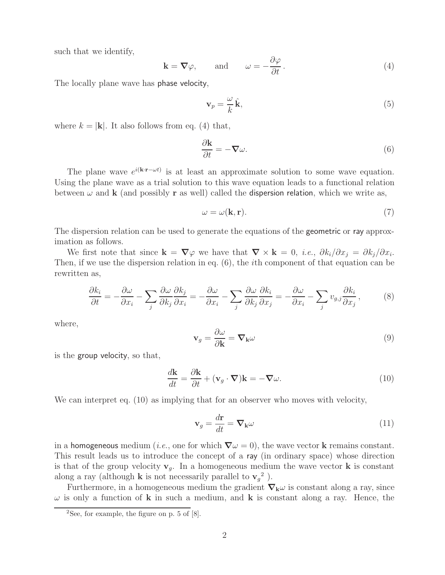such that we identify,

$$
\mathbf{k} = \nabla \varphi, \quad \text{and} \quad \omega = -\frac{\partial \varphi}{\partial t}.
$$
 (4)

The locally plane wave has phase velocity,

$$
\mathbf{v}_p = \frac{\omega}{k}\,\hat{\mathbf{k}},\tag{5}
$$

where  $k = |\mathbf{k}|$ . It also follows from eq. (4) that,

$$
\frac{\partial \mathbf{k}}{\partial t} = -\nabla \omega.
$$
 (6)

The plane wave  $e^{i(k \cdot \mathbf{r} - \omega t)}$  is at least an approximate solution to some wave equation. Using the plane wave as a trial solution to this wave equation leads to a functional relation between  $\omega$  and **k** (and possibly **r** as well) called the **dispersion relation**, which we write as,

$$
\omega = \omega(\mathbf{k}, \mathbf{r}).\tag{7}
$$

The dispersion relation can be used to generate the equations of the geometric or ray approximation as follows.

We first note that since  $\mathbf{k} = \nabla \varphi$  we have that  $\nabla \times \mathbf{k} = 0$ , *i.e.*,  $\partial k_i / \partial x_i = \partial k_i / \partial x_i$ . Then, if we use the dispersion relation in eq. (6), the ith component of that equation can be rewritten as,

$$
\frac{\partial k_i}{\partial t} = -\frac{\partial \omega}{\partial x_i} - \sum_j \frac{\partial \omega}{\partial k_j} \frac{\partial k_j}{\partial x_i} = -\frac{\partial \omega}{\partial x_i} - \sum_j \frac{\partial \omega}{\partial k_j} \frac{\partial k_i}{\partial x_j} = -\frac{\partial \omega}{\partial x_i} - \sum_j v_{g,j} \frac{\partial k_i}{\partial x_j},\tag{8}
$$

where,

$$
\mathbf{v}_g = \frac{\partial \omega}{\partial \mathbf{k}} = \mathbf{\nabla}_{\mathbf{k}} \omega \tag{9}
$$

is the group velocity, so that,

$$
\frac{d\mathbf{k}}{dt} = \frac{\partial \mathbf{k}}{\partial t} + (\mathbf{v}_g \cdot \nabla)\mathbf{k} = -\nabla \omega.
$$
 (10)

We can interpret eq. (10) as implying that for an observer who moves with velocity,

$$
\mathbf{v}_g = \frac{d\mathbf{r}}{dt} = \nabla_\mathbf{k} \omega \tag{11}
$$

in a homogeneous medium (*i.e.*, one for which  $\nabla \omega = 0$ ), the wave vector **k** remains constant. This result leads us to introduce the concept of a ray (in ordinary space) whose direction is that of the group velocity  $\mathbf{v}_g$ . In a homogeneous medium the wave vector **k** is constant along a ray (although **k** is not necessarily parallel to  $\mathbf{v}_g^2$ ).

Furthermore, in a homogeneous medium the gradient  $\nabla_k \omega$  is constant along a ray, since  $\omega$  is only a function of **k** in such a medium, and **k** is constant along a ray. Hence, the

<sup>&</sup>lt;sup>2</sup>See, for example, the figure on p. 5 of  $[8]$ .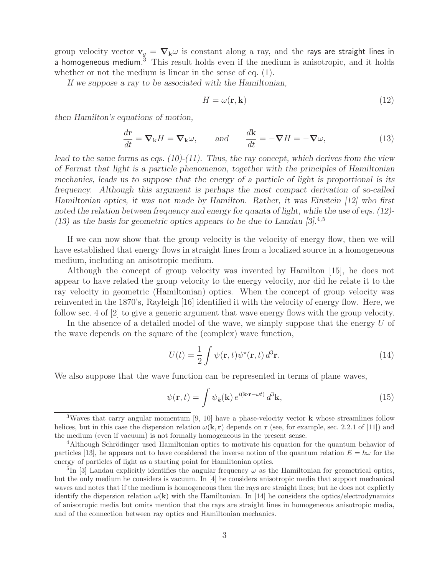group velocity vector  $\mathbf{v}_g = \nabla_{\mathbf{k}} \omega$  is constant along a ray, and the rays are straight lines in a homogeneous medium.<sup>3</sup> This result holds even if the medium is anisotropic, and it holds whether or not the medium is linear in the sense of eq.  $(1)$ .

*If we suppose a ray to be associated with the Hamiltonian,*

$$
H = \omega(\mathbf{r}, \mathbf{k})\tag{12}
$$

*then Hamilton's equations of motion,*

$$
\frac{d\mathbf{r}}{dt} = \mathbf{\nabla}_{\mathbf{k}} H = \mathbf{\nabla}_{\mathbf{k}} \omega, \quad \text{and} \quad \frac{d\mathbf{k}}{dt} = -\mathbf{\nabla} H = -\mathbf{\nabla}\omega,
$$
\n(13)

*lead to the same forms as eqs. (10)-(11). Thus, the ray concept, which derives from the view of Fermat that light is a particle phenomenon, together with the principles of Hamiltonian mechanics, leads us to suppose that the energy of a particle of light is proportional is its frequency. Although this argument is perhaps the most compact derivation of so-called Hamiltonian optics, it was not made by Hamilton. Rather, it was Einstein [12] who first noted the relation between frequency and energy for quanta of light, while the use of eqs. (12)- (13) as the basis for geometric optics appears to be due to Landau [3].*<sup>4</sup>*,*<sup>5</sup>

If we can now show that the group velocity is the velocity of energy flow, then we will have established that energy flows in straight lines from a localized source in a homogeneous medium, including an anisotropic medium.

Although the concept of group velocity was invented by Hamilton [15], he does not appear to have related the group velocity to the energy velocity, nor did he relate it to the ray velocity in geometric (Hamiltonian) optics. When the concept of group velocity was reinvented in the 1870's, Rayleigh [16] identified it with the velocity of energy flow. Here, we follow sec. 4 of [2] to give a generic argument that wave energy flows with the group velocity.

In the absence of a detailed model of the wave, we simply suppose that the energy U of the wave depends on the square of the (complex) wave function,

$$
U(t) = \frac{1}{2} \int \psi(\mathbf{r}, t) \psi^*(\mathbf{r}, t) d^3 \mathbf{r}.
$$
 (14)

We also suppose that the wave function can be represented in terms of plane waves,

$$
\psi(\mathbf{r},t) = \int \psi_k(\mathbf{k}) e^{i(\mathbf{k}\cdot\mathbf{r}-\omega t)} d^3 \mathbf{k},\tag{15}
$$

<sup>3</sup>Waves that carry angular momentum [9, 10] have a phase-velocity vector **k** whose streamlines follow helices, but in this case the dispersion relation  $\omega(\mathbf{k}, \mathbf{r})$  depends on **r** (see, for example, sec. 2.2.1 of [11]) and the medium (even if vacuum) is not formally homogeneous in the present sense.

<sup>&</sup>lt;sup>4</sup>Although Schrödinger used Hamiltonian optics to motivate his equation for the quantum behavior of particles [13], he appears not to have considered the inverse notion of the quantum relation  $E = \hbar \omega$  for the energy of particles of light as a starting point for Hamiltonian optics.

<sup>&</sup>lt;sup>5</sup>In [3] Landau explicitly identifies the angular frequency  $\omega$  as the Hamiltonian for geometrical optics, but the only medium he considers is vacuum. In [4] he considers anisotropic media that support mechanical waves and notes that if the medium is homogeneous then the rays are straight lines; but he does not explictly identify the dispersion relation  $\omega(\mathbf{k})$  with the Hamiltonian. In [14] he considers the optics/electrodynamics of anisotropic media but omits mention that the rays are straight lines in homogeneous anisotropic media, and of the connection between ray optics and Hamiltonian mechanics.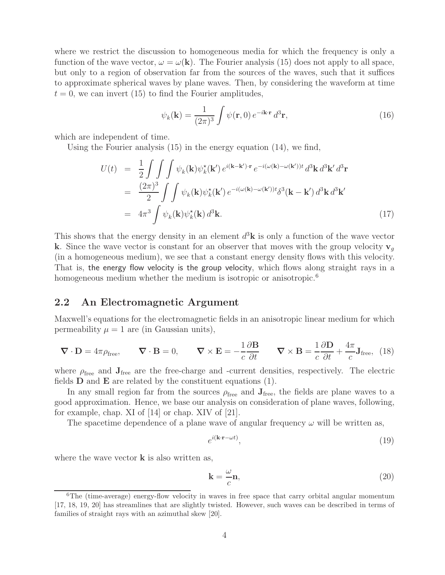where we restrict the discussion to homogeneous media for which the frequency is only a function of the wave vector,  $\omega = \omega(\mathbf{k})$ . The Fourier analysis (15) does not apply to all space, but only to a region of observation far from the sources of the waves, such that it suffices to approximate spherical waves by plane waves. Then, by considering the waveform at time  $t = 0$ , we can invert (15) to find the Fourier amplitudes,

$$
\psi_k(\mathbf{k}) = \frac{1}{(2\pi)^3} \int \psi(\mathbf{r}, 0) e^{-i\mathbf{k} \cdot \mathbf{r}} d^3 \mathbf{r},
$$
\n(16)

which are independent of time.

Using the Fourier analysis (15) in the energy equation (14), we find,

$$
U(t) = \frac{1}{2} \int \int \int \psi_k(\mathbf{k}) \psi_k^{\star}(\mathbf{k}') e^{i(\mathbf{k} - \mathbf{k}') \cdot \mathbf{r}} e^{-i(\omega(\mathbf{k}) - \omega(\mathbf{k}'))t} d^3 \mathbf{k} d^3 \mathbf{k}' d^3 \mathbf{r}
$$
  
\n
$$
= \frac{(2\pi)^3}{2} \int \int \psi_k(\mathbf{k}) \psi_k^{\star}(\mathbf{k}') e^{-i(\omega(\mathbf{k}) - \omega(\mathbf{k}'))t} \delta^3(\mathbf{k} - \mathbf{k}') d^3 \mathbf{k} d^3 \mathbf{k}'
$$
  
\n
$$
= 4\pi^3 \int \psi_k(\mathbf{k}) \psi_k^{\star}(\mathbf{k}) d^3 \mathbf{k}.
$$
 (17)

This shows that the energy density in an element  $d^3\mathbf{k}$  is only a function of the wave vector **k**. Since the wave vector is constant for an observer that moves with the group velocity  $\mathbf{v}_q$ (in a homogeneous medium), we see that a constant energy density flows with this velocity. That is, the energy flow velocity is the group velocity, which flows along straight rays in a homogeneous medium whether the medium is isotropic or anisotropic.<sup>6</sup>

#### **2.2 An Electromagnetic Argument**

Maxwell's equations for the electromagnetic fields in an anisotropic linear medium for which permeability  $\mu = 1$  are (in Gaussian units),

$$
\nabla \cdot \mathbf{D} = 4\pi \rho_{\text{free}}, \qquad \nabla \cdot \mathbf{B} = 0, \qquad \nabla \times \mathbf{E} = -\frac{1}{c} \frac{\partial \mathbf{B}}{\partial t} \qquad \nabla \times \mathbf{B} = \frac{1}{c} \frac{\partial \mathbf{D}}{\partial t} + \frac{4\pi}{c} \mathbf{J}_{\text{free}}, \tag{18}
$$

where  $\rho_{\text{free}}$  and  $J_{\text{free}}$  are the free-charge and -current densities, respectively. The electric fields **D** and **E** are related by the constituent equations (1).

In any small region far from the sources  $\rho_{\text{free}}$  and  $\mathbf{J}_{\text{free}}$ , the fields are plane waves to a good approximation. Hence, we base our analysis on consideration of plane waves, following, for example, chap. XI of [14] or chap. XIV of [21].

The spacetime dependence of a plane wave of angular frequency  $\omega$  will be written as,

$$
e^{i(\mathbf{k}\cdot\mathbf{r}-\omega t)},\tag{19}
$$

where the wave vector **k** is also written as,

$$
\mathbf{k} = \frac{\omega}{c} \mathbf{n},\tag{20}
$$

 ${}^{6}$ The (time-average) energy-flow velocity in waves in free space that carry orbital angular momentum [17, 18, 19, 20] has streamlines that are slightly twisted. However, such waves can be described in terms of families of straight rays with an azimuthal skew [20].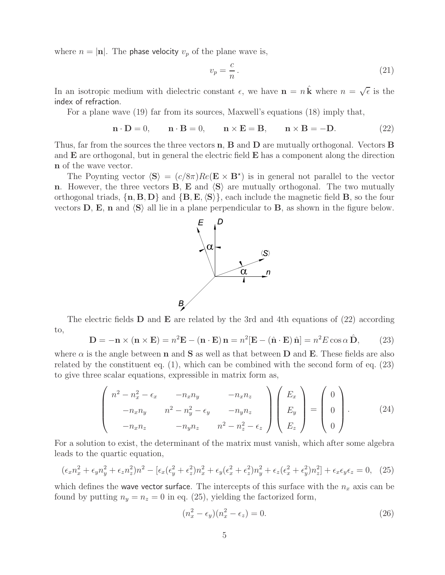where  $n = |\mathbf{n}|$ . The **phase velocity**  $v_p$  of the plane wave is,

$$
v_p = \frac{c}{n} \,. \tag{21}
$$

In an isotropic medium with dielectric constant  $\epsilon$ , we have  $\mathbf{n} = n\hat{\mathbf{k}}$  where  $n = \sqrt{\epsilon}$  is the index of refraction.

For a plane wave (19) far from its sources, Maxwell's equations (18) imply that,

$$
\mathbf{n} \cdot \mathbf{D} = 0, \qquad \mathbf{n} \cdot \mathbf{B} = 0, \qquad \mathbf{n} \times \mathbf{E} = \mathbf{B}, \qquad \mathbf{n} \times \mathbf{B} = -\mathbf{D}.
$$
 (22)

Thus, far from the sources the three vectors **n**, **B** and **D** are mutually orthogonal. Vectors **B** and **E** are orthogonal, but in general the electric field **E** has a component along the direction **n** of the wave vector.

The Poynting vector  $\langle S \rangle = (c/8\pi)Re(E \times B^*)$  is in general not parallel to the vector **n**. However, the three vectors **B**, **E** and  $\langle S \rangle$  are mutually orthogonal. The two mutually orthogonal triads,  $\{\mathbf{n}, \mathbf{B}, \mathbf{D}\}\$  and  $\{\mathbf{B}, \mathbf{E}, \langle \mathbf{S} \rangle\}$ , each include the magnetic field **B**, so the four vectors  $\bf{D}$ ,  $\bf{E}$ ,  $\bf{n}$  and  $\bf{(S)}$  all lie in a plane perpendicular to  $\bf{B}$ , as shown in the figure below.



The electric fields **D** and **E** are related by the 3rd and 4th equations of (22) according to,

$$
\mathbf{D} = -\mathbf{n} \times (\mathbf{n} \times \mathbf{E}) = n^2 \mathbf{E} - (\mathbf{n} \cdot \mathbf{E}) \mathbf{n} = n^2 [\mathbf{E} - (\hat{\mathbf{n}} \cdot \mathbf{E}) \hat{\mathbf{n}}] = n^2 E \cos \alpha \hat{\mathbf{D}},
$$
 (23)

where  $\alpha$  is the angle between **n** and **S** as well as that between **D** and **E**. These fields are also related by the constituent eq. (1), which can be combined with the second form of eq. (23) to give three scalar equations, expressible in matrix form as,

$$
\begin{pmatrix}\nn^2 - n_x^2 - \epsilon_x & -n_x n_y & -n_x n_z \\
-n_x n_y & n^2 - n_y^2 - \epsilon_y & -n_y n_z \\
-n_x n_z & -n_y n_z & n^2 - n_z^2 - \epsilon_z\n\end{pmatrix}\n\begin{pmatrix}\nE_x \\
E_y \\
E_z\n\end{pmatrix} =\n\begin{pmatrix}\n0 \\
0 \\
0\n\end{pmatrix}.
$$
\n(24)

For a solution to exist, the determinant of the matrix must vanish, which after some algebra leads to the quartic equation,

$$
(\epsilon_x n_x^2 + \epsilon_y n_y^2 + \epsilon_z n_z^2) n^2 - [\epsilon_x (\epsilon_y^2 + \epsilon_z^2) n_x^2 + \epsilon_y (\epsilon_x^2 + \epsilon_z^2) n_y^2 + \epsilon_z (\epsilon_x^2 + \epsilon_y^2) n_z^2] + \epsilon_x \epsilon_y \epsilon_z = 0, \tag{25}
$$

which defines the wave vector surface. The intercepts of this surface with the  $n_x$  axis can be found by putting  $n_y = n_z = 0$  in eq. (25), yielding the factorized form,

$$
(n_x^2 - \epsilon_y)(n_x^2 - \epsilon_z) = 0.
$$
\n(26)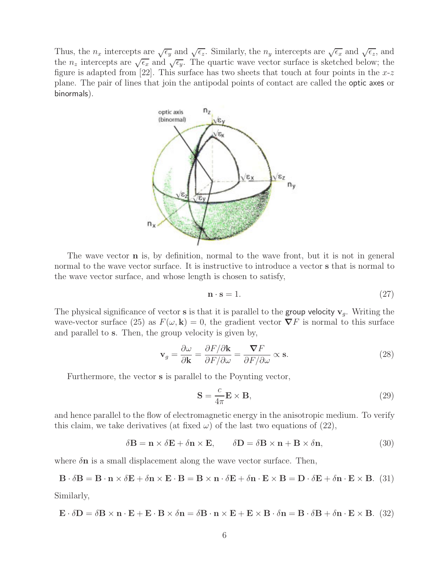Thus, the  $n_x$  intercepts are  $\sqrt{\epsilon_y}$  and  $\sqrt{\epsilon_z}$ . Similarly, the  $n_y$  intercepts are  $\sqrt{\epsilon_x}$  and  $\sqrt{\epsilon_z}$ , and the  $n_z$  intercepts are  $\sqrt{\epsilon_x}$  and  $\sqrt{\epsilon_y}$ . The quartic wave vector surface is sketched below; the figure is adapted from [22]. This surface has two sheets that touch at four points in the  $x-z$ plane. The pair of lines that join the antipodal points of contact are called the optic axes or binormals).



The wave vector **n** is, by definition, normal to the wave front, but it is not in general normal to the wave vector surface. It is instructive to introduce a vector **s** that is normal to the wave vector surface, and whose length is chosen to satisfy,

$$
\mathbf{n} \cdot \mathbf{s} = 1. \tag{27}
$$

The physical significance of vector **s** is that it is parallel to the **group velocity**  $v_q$ . Writing the wave-vector surface (25) as  $F(\omega, \mathbf{k}) = 0$ , the gradient vector  $\nabla F$  is normal to this surface and parallel to **s**. Then, the group velocity is given by,

$$
\mathbf{v}_g = \frac{\partial \omega}{\partial \mathbf{k}} = \frac{\partial F/\partial \mathbf{k}}{\partial F/\partial \omega} = \frac{\nabla F}{\partial F/\partial \omega} \propto \mathbf{s}.\tag{28}
$$

Furthermore, the vector **s** is parallel to the Poynting vector,

$$
\mathbf{S} = \frac{c}{4\pi} \mathbf{E} \times \mathbf{B},\tag{29}
$$

and hence parallel to the flow of electromagnetic energy in the anisotropic medium. To verify this claim, we take derivatives (at fixed  $\omega$ ) of the last two equations of (22),

$$
\delta \mathbf{B} = \mathbf{n} \times \delta \mathbf{E} + \delta \mathbf{n} \times \mathbf{E}, \qquad \delta \mathbf{D} = \delta \mathbf{B} \times \mathbf{n} + \mathbf{B} \times \delta \mathbf{n}, \tag{30}
$$

where  $\delta$ **n** is a small displacement along the wave vector surface. Then,

$$
\mathbf{B} \cdot \delta \mathbf{B} = \mathbf{B} \cdot \mathbf{n} \times \delta \mathbf{E} + \delta \mathbf{n} \times \mathbf{E} \cdot \mathbf{B} = \mathbf{B} \times \mathbf{n} \cdot \delta \mathbf{E} + \delta \mathbf{n} \cdot \mathbf{E} \times \mathbf{B} = \mathbf{D} \cdot \delta \mathbf{E} + \delta \mathbf{n} \cdot \mathbf{E} \times \mathbf{B}.
$$
 (31)

Similarly,

$$
\mathbf{E} \cdot \delta \mathbf{D} = \delta \mathbf{B} \times \mathbf{n} \cdot \mathbf{E} + \mathbf{E} \cdot \mathbf{B} \times \delta \mathbf{n} = \delta \mathbf{B} \cdot \mathbf{n} \times \mathbf{E} + \mathbf{E} \times \mathbf{B} \cdot \delta \mathbf{n} = \mathbf{B} \cdot \delta \mathbf{B} + \delta \mathbf{n} \cdot \mathbf{E} \times \mathbf{B}. \tag{32}
$$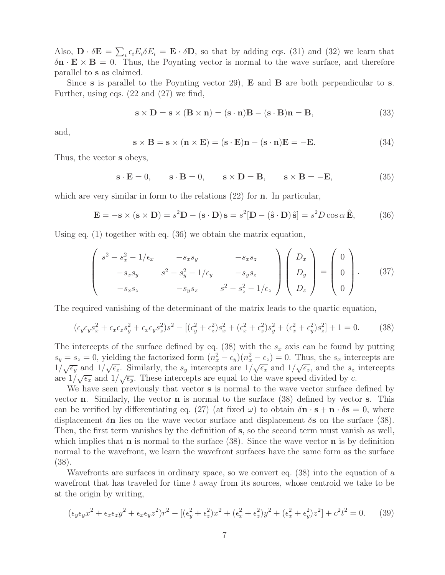Also,  $\mathbf{D} \cdot \delta \mathbf{E} = \sum_i \epsilon_i E_i \delta E_i = \mathbf{E} \cdot \delta \mathbf{D}$ , so that by adding eqs. (31) and (32) we learn that  $\delta \mathbf{n} \cdot \mathbf{F} \times \mathbf{B} = 0$ . Thus, the Poynting vector is normal to the wave surface, and therefore  $\delta \mathbf{n} \cdot \mathbf{E} \times \mathbf{B} = 0$ . Thus, the Poynting vector is normal to the wave surface, and therefore parallel to **s** as claimed.

Since **s** is parallel to the Poynting vector 29), **E** and **B** are both perpendicular to **s**. Further, using eqs. (22 and (27) we find,

$$
\mathbf{s} \times \mathbf{D} = \mathbf{s} \times (\mathbf{B} \times \mathbf{n}) = (\mathbf{s} \cdot \mathbf{n})\mathbf{B} - (\mathbf{s} \cdot \mathbf{B})\mathbf{n} = \mathbf{B},\tag{33}
$$

and,

$$
\mathbf{s} \times \mathbf{B} = \mathbf{s} \times (\mathbf{n} \times \mathbf{E}) = (\mathbf{s} \cdot \mathbf{E})\mathbf{n} - (\mathbf{s} \cdot \mathbf{n})\mathbf{E} = -\mathbf{E}.
$$
 (34)

Thus, the vector **s** obeys,

$$
\mathbf{s} \cdot \mathbf{E} = 0, \qquad \mathbf{s} \cdot \mathbf{B} = 0, \qquad \mathbf{s} \times \mathbf{D} = \mathbf{B}, \qquad \mathbf{s} \times \mathbf{B} = -\mathbf{E}, \tag{35}
$$

which are very similar in form to the relations (22) for **n**. In particular,

$$
\mathbf{E} = -\mathbf{s} \times (\mathbf{s} \times \mathbf{D}) = s^2 \mathbf{D} - (\mathbf{s} \cdot \mathbf{D}) \mathbf{s} = s^2 [\mathbf{D} - (\hat{\mathbf{s}} \cdot \mathbf{D}) \hat{\mathbf{s}}] = s^2 D \cos \alpha \, \hat{\mathbf{E}},\tag{36}
$$

Using eq. (1) together with eq. (36) we obtain the matrix equation,

$$
\begin{pmatrix}\ns^2 - s_x^2 - 1/\epsilon_x & -s_x s_y & -s_x s_z \\
-s_x s_y & s^2 - s_y^2 - 1/\epsilon_y & -s_y s_z \\
-s_x s_z & -s_y s_z & s^2 - s_z^2 - 1/\epsilon_z\n\end{pmatrix}\n\begin{pmatrix}\nD_x \\
D_y \\
D_z\n\end{pmatrix} =\n\begin{pmatrix}\n0 \\
0 \\
0\n\end{pmatrix}.
$$
\n(37)

The required vanishing of the determinant of the matrix leads to the quartic equation,

$$
(\epsilon_y \epsilon_y s_x^2 + \epsilon_x \epsilon_z s_y^2 + \epsilon_x \epsilon_y s_z^2) s^2 - [(\epsilon_y^2 + \epsilon_z^2)s_x^2 + (\epsilon_x^2 + \epsilon_z^2)s_y^2 + (\epsilon_x^2 + \epsilon_y^2)s_z^2] + 1 = 0. \tag{38}
$$

The intercepts of the surface defined by eq. (38) with the  $s_x$  axis can be found by putting  $s_y = s_z = 0$ , yielding the factorized form  $(n_x^2 - \epsilon_y)(n_x^2 - \epsilon_z) = 0$ . Thus, the  $s_x$  intercepts are  $\frac{dy}{d\theta} = \frac{z}{z} = 0$ , yielding the ractorized form  $\left(\frac{u_x}{x} - \frac{c_y}{y}\right)$ ,  $\left(\frac{u_x}{x} - \frac{c_z}{z}\right) = 0$ . Thus, the  $s_x$  intercepts are  $1/\sqrt{\epsilon_x}$ , and the s<sub>z</sub> intercepts are  $1/\sqrt{\epsilon_x}$ , and the s<sub>z</sub> intercepts  $\frac{1}{\sqrt{\epsilon_x}}$  and  $\frac{1}{\sqrt{\epsilon_y}}$ . These intercepts are equal to the wave speed divided by c.

We have seen previously that vector **s** is normal to the wave vector surface defined by vector **n**. Similarly, the vector **n** is normal to the surface (38) defined by vector **s**. This can be verified by differentiating eq. (27) (at fixed  $\omega$ ) to obtain  $\delta \mathbf{n} \cdot \mathbf{s} + \mathbf{n} \cdot \delta \mathbf{s} = 0$ , where displacement δ**n** lies on the wave vector surface and displacement δ**s** on the surface (38). Then, the first term vanishes by the definition of **s**, so the second term must vanish as well, which implies that **n** is normal to the surface (38). Since the wave vector **n** is by definition normal to the wavefront, we learn the wavefront surfaces have the same form as the surface (38).

Wavefronts are surfaces in ordinary space, so we convert eq. (38) into the equation of a wavefront that has traveled for time  $t$  away from its sources, whose centroid we take to be at the origin by writing,

$$
(\epsilon_y \epsilon_y x^2 + \epsilon_x \epsilon_z y^2 + \epsilon_x \epsilon_y z^2) r^2 - [(\epsilon_y^2 + \epsilon_z^2) x^2 + (\epsilon_x^2 + \epsilon_z^2) y^2 + (\epsilon_x^2 + \epsilon_y^2) z^2] + c^2 t^2 = 0. \tag{39}
$$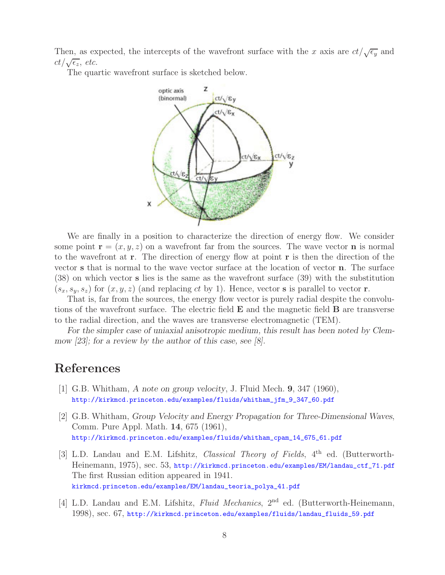Then, as expected, the intercepts of the wavefront surface with the x axis are  $ct/\sqrt{\epsilon_y}$  and  $ct/\sqrt{\epsilon_z}$ , *etc.* 

The quartic wavefront surface is sketched below.



We are finally in a position to characterize the direction of energy flow. We consider some point  $\mathbf{r} = (x, y, z)$  on a wavefront far from the sources. The wave vector **n** is normal to the wavefront at **r**. The direction of energy flow at point **r** is then the direction of the vector **s** that is normal to the wave vector surface at the location of vector **n**. The surface (38) on which vector **s** lies is the same as the wavefront surface (39) with the substitution  $(s_x, s_y, s_z)$  for  $(x, y, z)$  (and replacing ct by 1). Hence, vector **s** is parallel to vector **r**.

That is, far from the sources, the energy flow vector is purely radial despite the convolutions of the wavefront surface. The electric field **E** and the magnetic field **B** are transverse to the radial direction, and the waves are transverse electromagnetic (TEM).

*For the simpler case of uniaxial anisotropic medium, this result has been noted by Clemmow [23]; for a review by the author of this case, see [8].*

### **References**

- [1] G.B. Whitham, *A note on group velocity*, J. Fluid Mech. **9**, 347 (1960), http://kirkmcd.princeton.edu/examples/fluids/whitham\_jfm\_9\_347\_60.pdf
- [2] G.B. Whitham, *Group Velocity and Energy Propagation for Three-Dimensional Waves*, Comm. Pure Appl. Math. **14**, 675 (1961), http://kirkmcd.princeton.edu/examples/fluids/whitham\_cpam\_14\_675\_61.pdf
- [3] L.D. Landau and E.M. Lifshitz, *Classical Theory of Fields*, 4th ed. (Butterworth-Heinemann, 1975), sec. 53, http://kirkmcd.princeton.edu/examples/EM/landau\_ctf\_71.pdf The first Russian edition appeared in 1941. kirkmcd.princeton.edu/examples/EM/landau\_teoria\_polya\_41.pdf
- [4] L.D. Landau and E.M. Lifshitz, *Fluid Mechanics*, 2nd ed. (Butterworth-Heinemann, 1998), sec. 67, http://kirkmcd.princeton.edu/examples/fluids/landau\_fluids\_59.pdf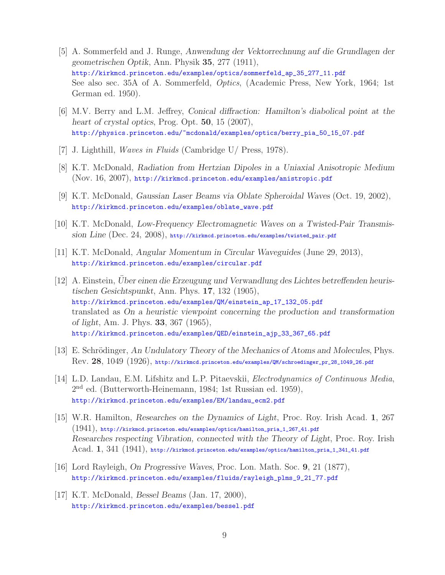- [5] A. Sommerfeld and J. Runge, *Anwendung der Vektorrechnung auf die Grundlagen der geometrischen Optik*, Ann. Physik **35**, 277 (1911), http://kirkmcd.princeton.edu/examples/optics/sommerfeld\_ap\_35\_277\_11.pdf See also sec. 35A of A. Sommerfeld, *Optics*, (Academic Press, New York, 1964; 1st German ed. 1950).
- [6] M.V. Berry and L.M. Jeffrey, *Conical diffraction: Hamilton's diabolical point at the heart of crystal optics*, Prog. Opt. **50**, 15 (2007), http://physics.princeton.edu/~mcdonald/examples/optics/berry\_pia\_50\_15\_07.pdf
- [7] J. Lighthill, *Waves in Fluids* (Cambridge U/ Press, 1978).
- [8] K.T. McDonald, *Radiation from Hertzian Dipoles in a Uniaxial Anisotropic Medium* (Nov. 16, 2007), http://kirkmcd.princeton.edu/examples/anistropic.pdf
- [9] K.T. McDonald, *Gaussian Laser Beams via Oblate Spheroidal Waves* (Oct. 19, 2002), http://kirkmcd.princeton.edu/examples/oblate\_wave.pdf
- [10] K.T. McDonald, *Low-Frequency Electromagnetic Waves on a Twisted-Pair Transmission Line* (Dec. 24, 2008), http://kirkmcd.princeton.edu/examples/twisted\_pair.pdf
- [11] K.T. McDonald, *Angular Momentum in Circular Waveguides* (June 29, 2013), http://kirkmcd.princeton.edu/examples/circular.pdf
- [12] A. Einstein, *Uber einen die Erzeugung und Verwandlung des Lichtes betreffenden heuris- ¨ tischen Gesichtspunkt*, Ann. Phys. **17**, 132 (1905), http://kirkmcd.princeton.edu/examples/QM/einstein\_ap\_17\_132\_05.pdf translated as *On a heuristic viewpoint concerning the production and transformation of light*, Am. J. Phys. **33**, 367 (1965), http://kirkmcd.princeton.edu/examples/QED/einstein\_ajp\_33\_367\_65.pdf
- [13] E. Schrödinger, An Undulatory Theory of the Mechanics of Atoms and Molecules, Phys. Rev. **28**, 1049 (1926), http://kirkmcd.princeton.edu/examples/QM/schroedinger\_pr\_28\_1049\_26.pdf
- [14] L.D. Landau, E.M. Lifshitz and L.P. Pitaevskii, *Electrodynamics of Continuous Media*, 2nd ed. (Butterworth-Heinemann, 1984; 1st Russian ed. 1959), http://kirkmcd.princeton.edu/examples/EM/landau\_ecm2.pdf
- [15] W.R. Hamilton, *Researches on the Dynamics of Light*, Proc. Roy. Irish Acad. **1**, 267 (1941), http://kirkmcd.princeton.edu/examples/optics/hamilton\_pria\_1\_267\_41.pdf *Researches respecting Vibration, connected with the Theory of Light*, Proc. Roy. Irish Acad. **1**, 341 (1941), http://kirkmcd.princeton.edu/examples/optics/hamilton\_pria\_1\_341\_41.pdf
- [16] Lord Rayleigh, *On Progressive Waves*, Proc. Lon. Math. Soc. **9**, 21 (1877), http://kirkmcd.princeton.edu/examples/fluids/rayleigh\_plms\_9\_21\_77.pdf
- [17] K.T. McDonald, *Bessel Beams* (Jan. 17, 2000), http://kirkmcd.princeton.edu/examples/bessel.pdf